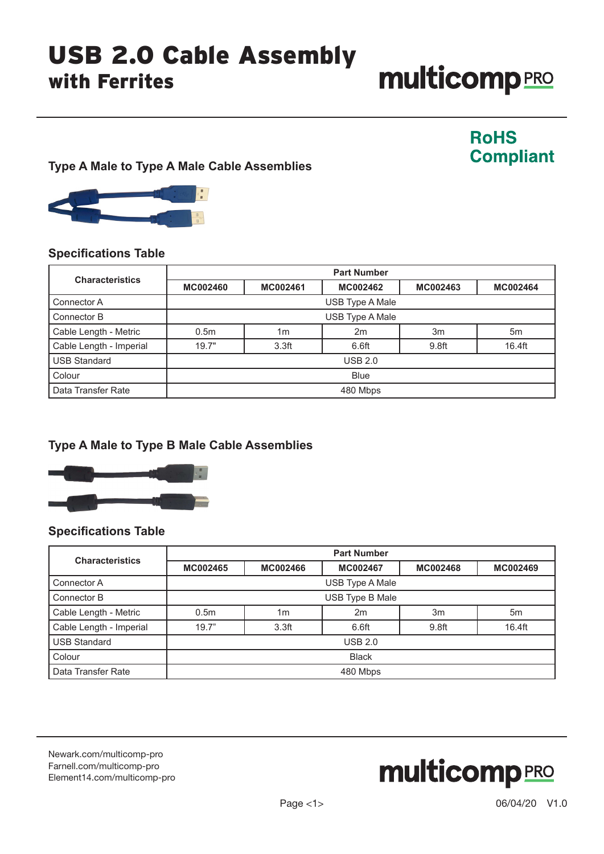# **multicomp**PRO

# **RoHS Compliant**

#### **Type A Male to Type A Male Cable Assemblies**



#### **Specifications Table**

| <b>Characteristics</b>  | <b>Part Number</b> |                   |          |          |                 |  |
|-------------------------|--------------------|-------------------|----------|----------|-----------------|--|
|                         | <b>MC002460</b>    | MC002461          | MC002462 | MC002463 | <b>MC002464</b> |  |
| Connector A             | USB Type A Male    |                   |          |          |                 |  |
| Connector B             | USB Type A Male    |                   |          |          |                 |  |
| Cable Length - Metric   | 0.5 <sub>m</sub>   | 1 <sub>m</sub>    | 2m       | 3m       | 5 <sub>m</sub>  |  |
| Cable Length - Imperial | 19.7"              | 3.3 <sub>ft</sub> | 6.6ft    | 9.8ft    | 16.4ft          |  |
| <b>USB Standard</b>     | <b>USB 2.0</b>     |                   |          |          |                 |  |
| Colour                  | <b>Blue</b>        |                   |          |          |                 |  |
| Data Transfer Rate      | 480 Mbps           |                   |          |          |                 |  |

## **Type A Male to Type B Male Cable Assemblies**



## **Specifications Table**

| <b>Characteristics</b>  | <b>Part Number</b> |                   |          |                 |          |  |
|-------------------------|--------------------|-------------------|----------|-----------------|----------|--|
|                         | <b>MC002465</b>    | <b>MC002466</b>   | MC002467 | <b>MC002468</b> | MC002469 |  |
| Connector A             | USB Type A Male    |                   |          |                 |          |  |
| Connector B             | USB Type B Male    |                   |          |                 |          |  |
| Cable Length - Metric   | 0.5 <sub>m</sub>   | 1 <sub>m</sub>    | 2m       | 3m              | 5m       |  |
| Cable Length - Imperial | 19.7"              | 3.3 <sub>ft</sub> | 6.6ft    | 9.8ft           | 16.4ft   |  |
| <b>USB Standard</b>     | <b>USB 2.0</b>     |                   |          |                 |          |  |
| Colour                  | <b>Black</b>       |                   |          |                 |          |  |
| Data Transfer Rate      | 480 Mbps           |                   |          |                 |          |  |

[Newark.com/multicomp-](https://www.newark.com/multicomp-pro)pro [Farnell.com/multicomp](https://www.farnell.com/multicomp-pro)-pro [Element14.com/multicomp-pro](https://element14.com/multicomp-pro)